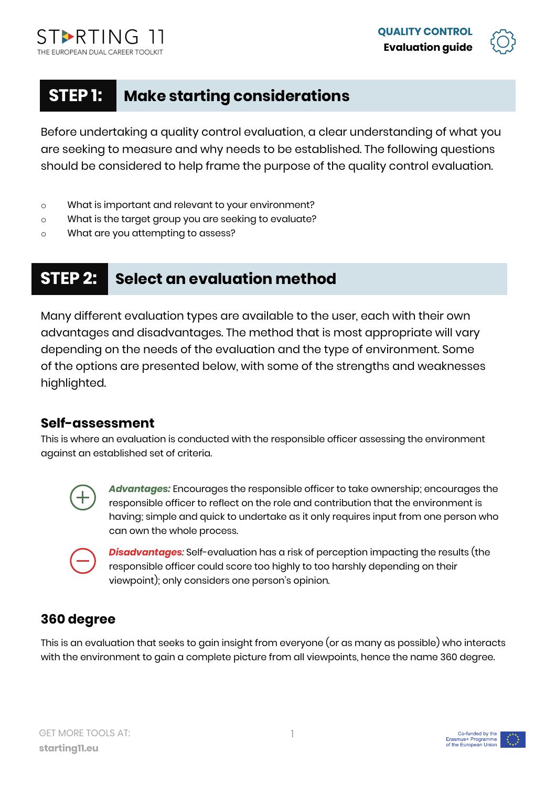



# **STEP 1: Make starting considerations**

Before undertaking a quality control evaluation, a clear understanding of what you are seeking to measure and why needs to be established. The following questions should be considered to help frame the purpose of the quality control evaluation.

- o What is important and relevant to your environment?
- o What is the target group you are seeking to evaluate?
- o What are you attempting to assess?

# **STEP 2: Select an evaluation method**

Many different evaluation types are available to the user, each with their own advantages and disadvantages. The method that is most appropriate will vary depending on the needs of the evaluation and the type of environment. Some of the options are presented below, with some of the strengths and weaknesses highlighted.

#### **Self-assessment**

This is where an evaluation is conducted with the responsible officer assessing the environment against an established set of criteria.



*Advantages:* Encourages the responsible officer to take ownership; encourages the responsible officer to reflect on the role and contribution that the environment is having; simple and quick to undertake as it only requires input from one person who can own the whole process.



*Disadvantages:* Self-evaluation has a risk of perception impacting the results (the responsible officer could score too highly to too harshly depending on their viewpoint); only considers one person's opinion.

#### **360 degree**

This is an evaluation that seeks to gain insight from everyone (or as many as possible) who interacts with the environment to gain a complete picture from all viewpoints, hence the name 360 degree.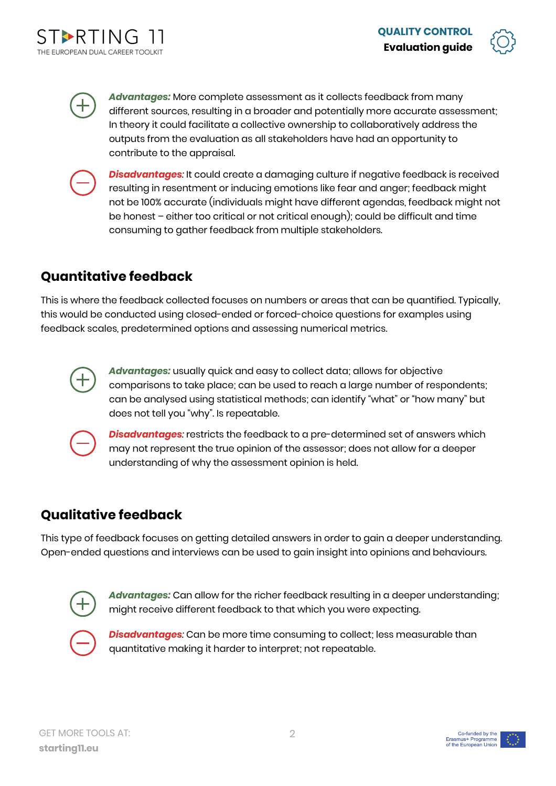



*Advantages:* More complete assessment as it collects feedback from many different sources, resulting in a broader and potentially more accurate assessment; In theory it could facilitate a collective ownership to collaboratively address the outputs from the evaluation as all stakeholders have had an opportunity to contribute to the appraisal.



*Disadvantages:* It could create a damaging culture if negative feedback is received resulting in resentment or inducing emotions like fear and anger; feedback might not be 100% accurate (individuals might have different agendas, feedback might not be honest – either too critical or not critical enough); could be difficult and time consuming to gather feedback from multiple stakeholders.

## **Quantitative feedback**

This is where the feedback collected focuses on numbers or areas that can be quantified. Typically, this would be conducted using closed-ended or forced-choice questions for examples using feedback scales, predetermined options and assessing numerical metrics.



*Advantages:* usually quick and easy to collect data; allows for objective comparisons to take place; can be used to reach a large number of respondents; can be analysed using statistical methods; can identify "what" or "how many" but does not tell you "why". Is repeatable.



*Disadvantages:* restricts the feedback to a pre-determined set of answers which may not represent the true opinion of the assessor; does not allow for a deeper understanding of why the assessment opinion is held.

### **Qualitative feedback**

This type of feedback focuses on getting detailed answers in order to gain a deeper understanding. Open-ended questions and interviews can be used to gain insight into opinions and behaviours.



*Advantages:* Can allow for the richer feedback resulting in a deeper understanding; might receive different feedback to that which you were expecting.



*Disadvantages:* Can be more time consuming to collect; less measurable than quantitative making it harder to interpret; not repeatable.